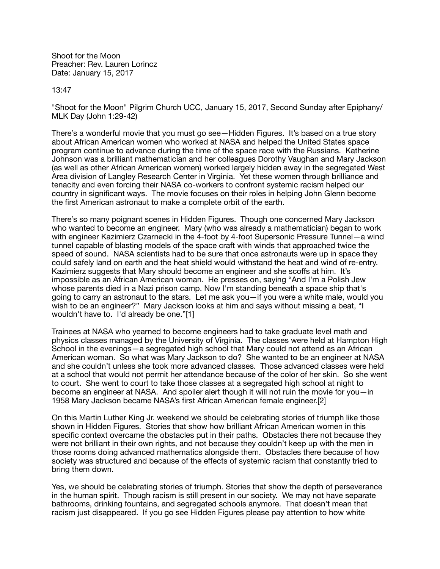Shoot for the Moon Preacher: Rev. Lauren Lorincz Date: January 15, 2017

13:47

"Shoot for the Moon" Pilgrim Church UCC, January 15, 2017, Second Sunday after Epiphany/ MLK Day (John 1:29-42)

There's a wonderful movie that you must go see—Hidden Figures. It's based on a true story about African American women who worked at NASA and helped the United States space program continue to advance during the time of the space race with the Russians. Katherine Johnson was a brilliant mathematician and her colleagues Dorothy Vaughan and Mary Jackson (as well as other African American women) worked largely hidden away in the segregated West Area division of Langley Research Center in Virginia. Yet these women through brilliance and tenacity and even forcing their NASA co-workers to confront systemic racism helped our country in significant ways. The movie focuses on their roles in helping John Glenn become the first American astronaut to make a complete orbit of the earth.

There's so many poignant scenes in Hidden Figures. Though one concerned Mary Jackson who wanted to become an engineer. Mary (who was already a mathematician) began to work with engineer Kazimierz Czarnecki in the 4-foot by 4-foot Supersonic Pressure Tunnel—a wind tunnel capable of blasting models of the space craft with winds that approached twice the speed of sound. NASA scientists had to be sure that once astronauts were up in space they could safely land on earth and the heat shield would withstand the heat and wind of re-entry. Kazimierz suggests that Mary should become an engineer and she scoffs at him. It's impossible as an African American woman. He presses on, saying "And I'm a Polish Jew whose parents died in a Nazi prison camp. Now I'm standing beneath a space ship that's going to carry an astronaut to the stars. Let me ask you—if you were a white male, would you wish to be an engineer?" Mary Jackson looks at him and says without missing a beat, "I wouldn't have to. I'd already be one."[1]

Trainees at NASA who yearned to become engineers had to take graduate level math and physics classes managed by the University of Virginia. The classes were held at Hampton High School in the evenings—a segregated high school that Mary could not attend as an African American woman. So what was Mary Jackson to do? She wanted to be an engineer at NASA and she couldn't unless she took more advanced classes. Those advanced classes were held at a school that would not permit her attendance because of the color of her skin. So she went to court. She went to court to take those classes at a segregated high school at night to become an engineer at NASA. And spoiler alert though it will not ruin the movie for you—in 1958 Mary Jackson became NASA's first African American female engineer.[2]

On this Martin Luther King Jr. weekend we should be celebrating stories of triumph like those shown in Hidden Figures. Stories that show how brilliant African American women in this specific context overcame the obstacles put in their paths. Obstacles there not because they were not brilliant in their own rights, and not because they couldn't keep up with the men in those rooms doing advanced mathematics alongside them. Obstacles there because of how society was structured and because of the effects of systemic racism that constantly tried to bring them down.

Yes, we should be celebrating stories of triumph. Stories that show the depth of perseverance in the human spirit. Though racism is still present in our society. We may not have separate bathrooms, drinking fountains, and segregated schools anymore. That doesn't mean that racism just disappeared. If you go see Hidden Figures please pay attention to how white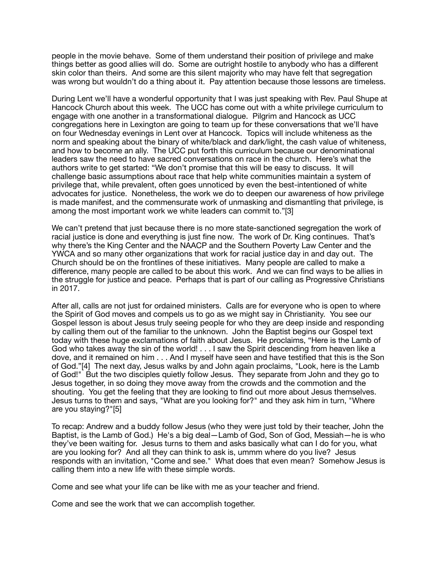people in the movie behave. Some of them understand their position of privilege and make things better as good allies will do. Some are outright hostile to anybody who has a different skin color than theirs. And some are this silent majority who may have felt that segregation was wrong but wouldn't do a thing about it. Pay attention because those lessons are timeless.

During Lent we'll have a wonderful opportunity that I was just speaking with Rev. Paul Shupe at Hancock Church about this week. The UCC has come out with a white privilege curriculum to engage with one another in a transformational dialogue. Pilgrim and Hancock as UCC congregations here in Lexington are going to team up for these conversations that we'll have on four Wednesday evenings in Lent over at Hancock. Topics will include whiteness as the norm and speaking about the binary of white/black and dark/light, the cash value of whiteness, and how to become an ally. The UCC put forth this curriculum because our denominational leaders saw the need to have sacred conversations on race in the church. Here's what the authors write to get started: "We don't promise that this will be easy to discuss. It will challenge basic assumptions about race that help white communities maintain a system of privilege that, while prevalent, often goes unnoticed by even the best-intentioned of white advocates for justice. Nonetheless, the work we do to deepen our awareness of how privilege is made manifest, and the commensurate work of unmasking and dismantling that privilege, is among the most important work we white leaders can commit to."[3]

We can't pretend that just because there is no more state-sanctioned segregation the work of racial justice is done and everything is just fine now. The work of Dr. King continues. That's why there's the King Center and the NAACP and the Southern Poverty Law Center and the YWCA and so many other organizations that work for racial justice day in and day out. The Church should be on the frontlines of these initiatives. Many people are called to make a difference, many people are called to be about this work. And we can find ways to be allies in the struggle for justice and peace. Perhaps that is part of our calling as Progressive Christians in 2017.

After all, calls are not just for ordained ministers. Calls are for everyone who is open to where the Spirit of God moves and compels us to go as we might say in Christianity. You see our Gospel lesson is about Jesus truly seeing people for who they are deep inside and responding by calling them out of the familiar to the unknown. John the Baptist begins our Gospel text today with these huge exclamations of faith about Jesus. He proclaims, "Here is the Lamb of God who takes away the sin of the world! . . . I saw the Spirit descending from heaven like a dove, and it remained on him . . . And I myself have seen and have testified that this is the Son of God."[4] The next day, Jesus walks by and John again proclaims, "Look, here is the Lamb of God!" But the two disciples quietly follow Jesus. They separate from John and they go to Jesus together, in so doing they move away from the crowds and the commotion and the shouting. You get the feeling that they are looking to find out more about Jesus themselves. Jesus turns to them and says, "What are you looking for?" and they ask him in turn, "Where are you staying?"[5]

To recap: Andrew and a buddy follow Jesus (who they were just told by their teacher, John the Baptist, is the Lamb of God.) He's a big deal—Lamb of God, Son of God, Messiah—he is who they've been waiting for. Jesus turns to them and asks basically what can I do for you, what are you looking for? And all they can think to ask is, ummm where do you live? Jesus responds with an invitation, "Come and see." What does that even mean? Somehow Jesus is calling them into a new life with these simple words.

Come and see what your life can be like with me as your teacher and friend.

Come and see the work that we can accomplish together.